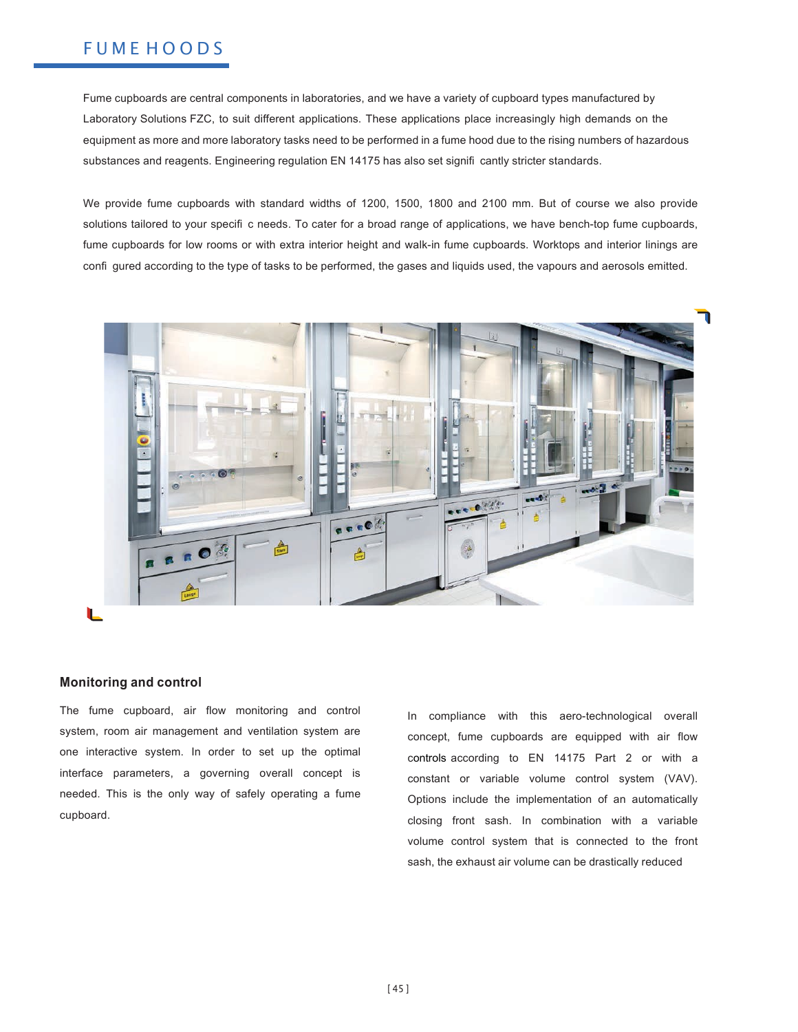# **FUMEHOODS**

Fume cupboards are central components in laboratories, and we have a variety of cupboard types manufactured by Laboratory Solutions FZC, to suit different applications. These applications place increasingly high demands on the equipment as more and more laboratory tasks need to be performed in a fume hood due to the rising numbers of hazardous substances and reagents. Engineering regulation EN 14175 has also set signifi cantly stricter standards.

We provide fume cupboards with standard widths of 1200, 1500, 1800 and 2100 mm. But of course we also provide solutions tailored to your specifi c needs. To cater for a broad range of applications, we have bench-top fume cupboards, fume cupboards for low rooms or with extra interior height and walk-in fume cupboards. Worktops and interior linings are confi gured according to the type of tasks to be performed, the gases and liquids used, the vapours and aerosols emitted.



### **Monitoring and control**

The fume cupboard, air flow monitoring and control system, room air management and ventilation system are one interactive system. In order to set up the optimal interface parameters, a governing overall concept is needed. This is the only way of safely operating a fume cupboard.

In compliance with this aero-technological overall concept, fume cupboards are equipped with air flow controls according to EN 14175 Part 2 or with a constant or variable volume control system (VAV). Options include the implementation of an automatically closing front sash. In combination with a variable volume control system that is connected to the front sash, the exhaust air volume can be drastically reduced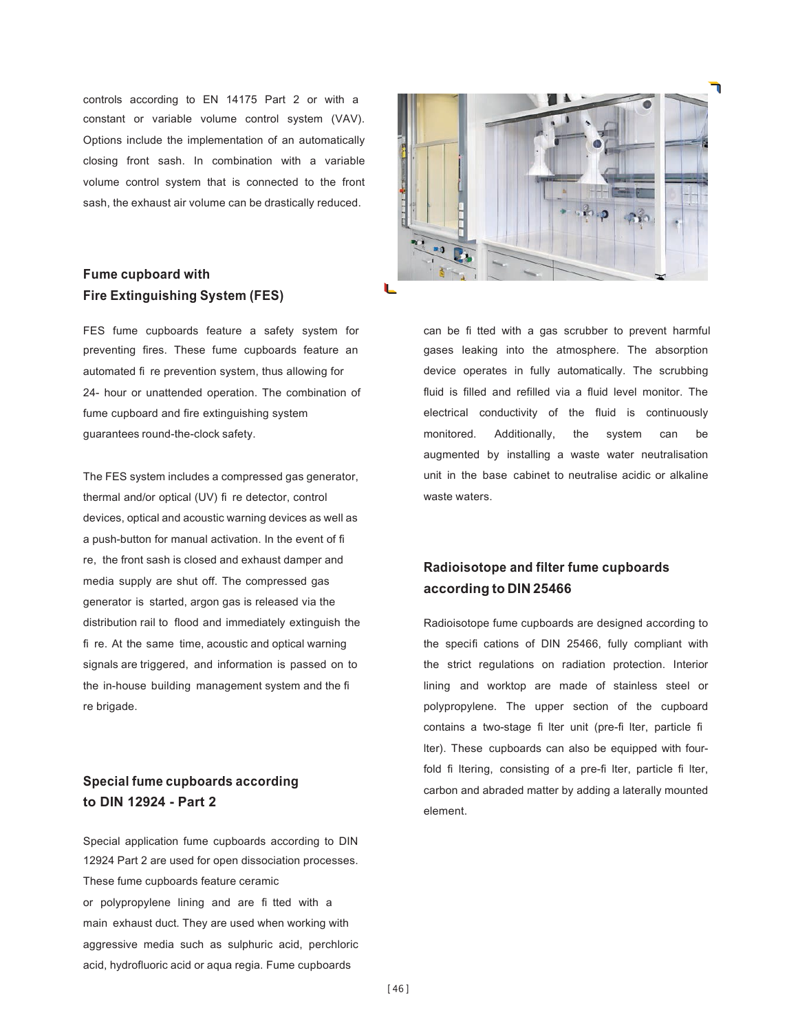controls according to EN 14175 Part 2 or with a constant or variable volume control system (VAV). Options include the implementation of an automatically closing front sash. In combination with a variable volume control system that is connected to the front sash, the exhaust air volume can be drastically reduced.

# **Fume cupboard with Fire Extinguishing System (FES)**

FES fume cupboards feature a safety system for preventing fires. These fume cupboards feature an automated fi re prevention system, thus allowing for 24- hour or unattended operation. The combination of fume cupboard and fire extinguishing system guarantees round-the-clock safety.

The FES system includes a compressed gas generator, thermal and/or optical (UV) fi re detector, control devices, optical and acoustic warning devices as well as a push-button for manual activation. In the event of fi re, the front sash is closed and exhaust damper and media supply are shut off. The compressed gas generator is started, argon gas is released via the distribution rail to flood and immediately extinguish the fi re. At the same time, acoustic and optical warning signals are triggered, and information is passed on to the in-house building management system and the fi re brigade.

# **Special fume cupboards according to DIN 12924 - Part 2**

Special application fume cupboards according to DIN 12924 Part 2 are used for open dissociation processes. These fume cupboards feature ceramic or polypropylene lining and are fi tted with a main exhaust duct. They are used when working with aggressive media such as sulphuric acid, perchloric acid, hydrofluoric acid or aqua regia. Fume cupboards



can be fi tted with a gas scrubber to prevent harmful gases leaking into the atmosphere. The absorption device operates in fully automatically. The scrubbing fluid is filled and refilled via a fluid level monitor. The electrical conductivity of the fluid is continuously monitored. Additionally, the system can be augmented by installing a waste water neutralisation unit in the base cabinet to neutralise acidic or alkaline waste waters.

# **Radioisotope and filter fume cupboards according to DIN 25466**

Radioisotope fume cupboards are designed according to the specifi cations of DIN 25466, fully compliant with the strict regulations on radiation protection. Interior lining and worktop are made of stainless steel or polypropylene. The upper section of the cupboard contains a two-stage fi lter unit (pre-fi lter, particle fi lter). These cupboards can also be equipped with fourfold fi Itering, consisting of a pre-fi Iter, particle fi Iter, carbon and abraded matter by adding a laterally mounted element.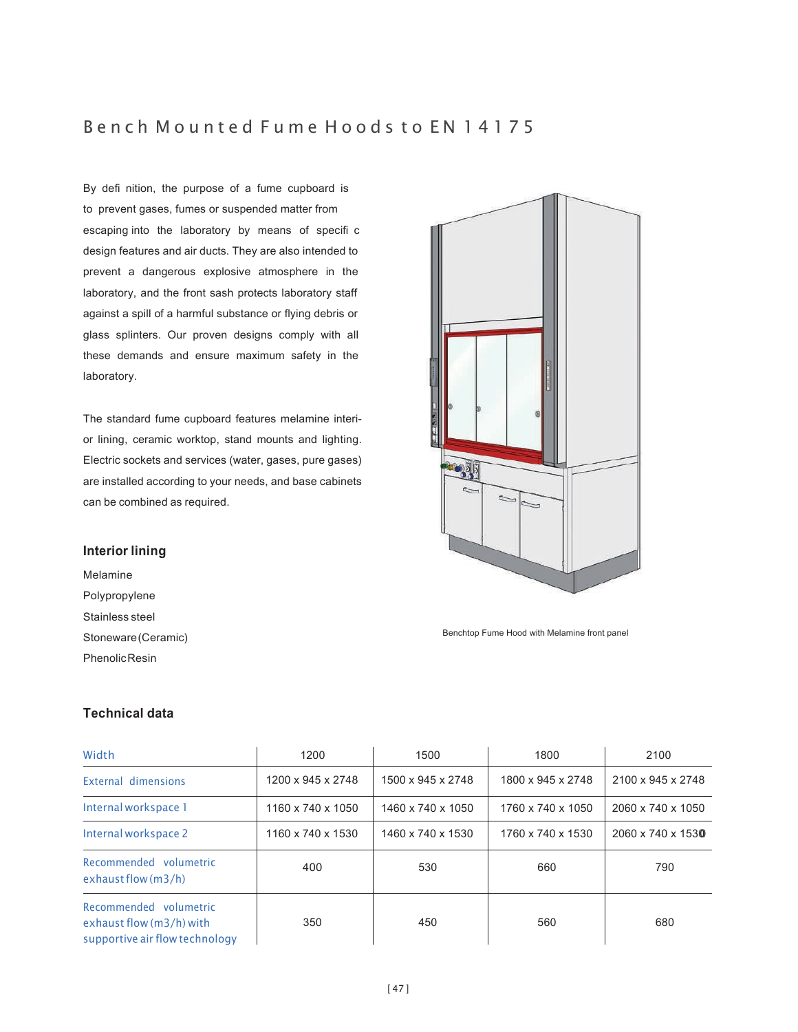# Bench Mounted Fume Hoods to EN 14175

By defi nition, the purpose of a fume cupboard is to prevent gases, fumes or suspended matter from escaping into the laboratory by means of specifi c design features and air ducts. They are also intended to prevent a dangerous explosive atmosphere in the laboratory, and the front sash protects laboratory staff against a spill of a harmful substance or flying debris or glass splinters. Our proven designs comply with all these demands and ensure maximum safety in the laboratory.

The standard fume cupboard features melamine interior lining, ceramic worktop, stand mounts and lighting. Electric sockets and services (water, gases, pure gases) are installed according to your needs, and base cabinets can be combined as required.

### **Interior lining**

Melamine Polypropylene Stainless steel Stoneware (Ceramic) Phenolic Resin

# $\rightarrow$

Benchtop Fume Hood with Melamine front panel

| Width                                                                                | 1200              | 1500              | 1800              | 2100              |
|--------------------------------------------------------------------------------------|-------------------|-------------------|-------------------|-------------------|
| External dimensions                                                                  | 1200 x 945 x 2748 | 1500 x 945 x 2748 | 1800 x 945 x 2748 | 2100 x 945 x 2748 |
| Internal workspace 1                                                                 | 1160 x 740 x 1050 | 1460 x 740 x 1050 | 1760 x 740 x 1050 | 2060 x 740 x 1050 |
| Internal workspace 2                                                                 | 1160 x 740 x 1530 | 1460 x 740 x 1530 | 1760 x 740 x 1530 | 2060 x 740 x 1530 |
| Recommended volumetric<br>exhaust flow $(m3/h)$                                      | 400               | 530               | 660               | 790               |
| Recommended volumetric<br>exhaust flow (m3/h) with<br>supportive air flow technology | 350               | 450               | 560               | 680               |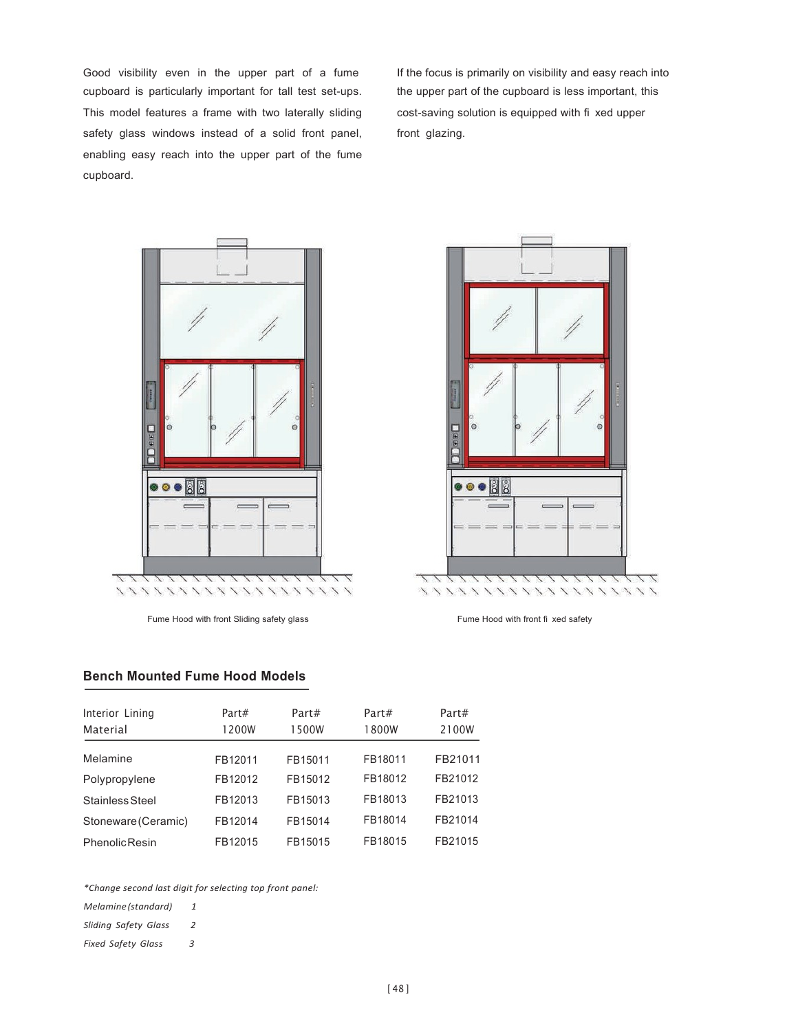Good visibility even in the upper part of a fume cupboard is particularly important for tall test set-ups. This model features a frame with two laterally sliding safety glass windows instead of a solid front panel, enabling easy reach into the upper part of the fume cupboard.

If the focus is primarily on visibility and easy reach into the upper part of the cupboard is less important, this cost-saving solution is equipped with fi xed upper front glazing.



Fume Hood with front Sliding safety glass Fume Hood with front fi xed safety



### **Bench Mounted Fume Hood Models**

| Interior Lining<br>Material | Part#<br>1200W | Part#<br>1500W | Part#<br>1800W | Part#<br>2100W |
|-----------------------------|----------------|----------------|----------------|----------------|
| Melamine                    | FB12011        | FB15011        | FB18011        | FB21011        |
| Polypropylene               | FB12012        | FB15012        | FB18012        | FB21012        |
| Stainless Steel             | FB12013        | FB15013        | FB18013        | FB21013        |
| Stoneware (Ceramic)         | FB12014        | FB15014        | FB18014        | FB21014        |
| <b>PhenolicResin</b>        | FB12015        | FB15015        | FB18015        | FB21015        |

*\*Change second last digit for selecting top front panel:*

*Melamine (standard) 1*

*Sliding Safety Glass 2*

*Fixed Safety Glass 3*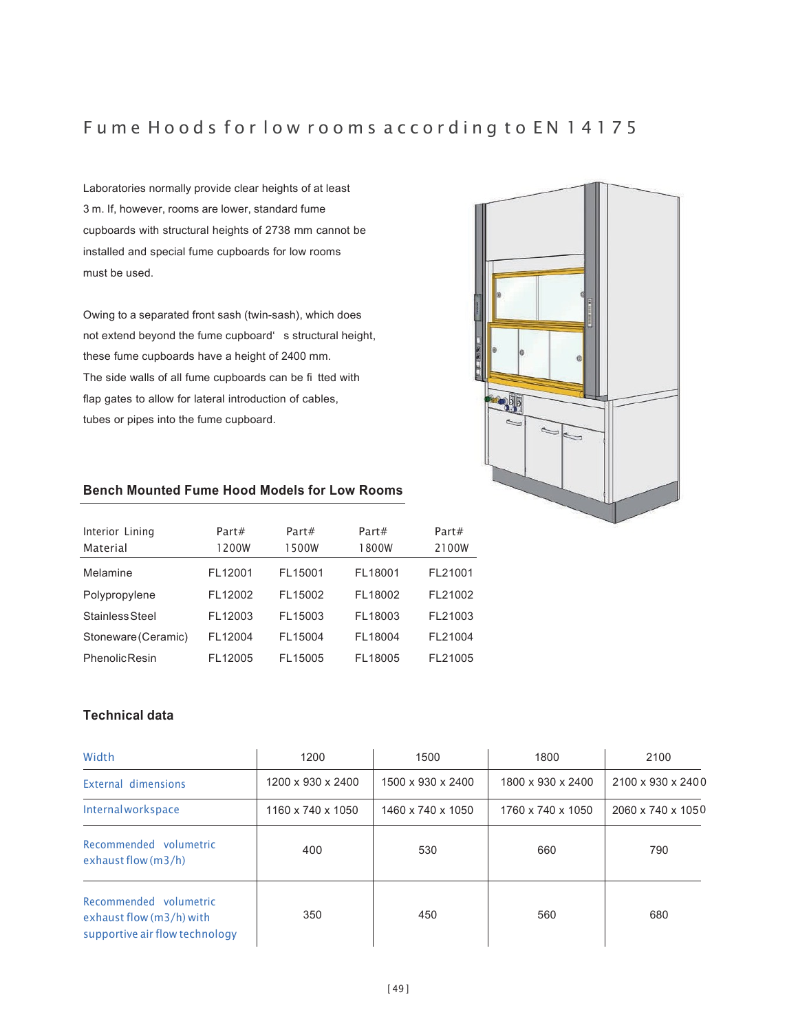# Fume Hoods for low rooms according to EN 14175

Laboratories normally provide clear heights of at least 3 m. If, however, rooms are lower, standard fume cupboards with structural heights of 2738 mm cannot be installed and special fume cupboards for low rooms must be used.

Owing to a separated front sash (twin-sash), which does not extend beyond the fume cupboard' s structural height, these fume cupboards have a height of 2400 mm. The side walls of all fume cupboards can be fi tted with flap gates to allow for lateral introduction of cables, tubes or pipes into the fume cupboard.



### **Bench Mounted Fume Hood Models for Low Rooms**

| Interior Lining<br>Material | Part#<br>1200W | Part#<br>1500W | Part#<br>1800W | Part#<br>2100W |
|-----------------------------|----------------|----------------|----------------|----------------|
| Melamine                    | FL12001        | FL15001        | FL18001        | FL21001        |
| Polypropylene               | FL12002        | FL15002        | FL18002        | FL21002        |
| Stainless Steel             | FL12003        | FL15003        | FL18003        | FL21003        |
| Stoneware (Ceramic)         | FL12004        | FL15004        | FL18004        | FL21004        |
| <b>Phenolic Resin</b>       | FL12005        | FL15005        | FL18005        | FL21005        |

| Width                                                                                | 1200              | 1500              | 1800              | 2100              |
|--------------------------------------------------------------------------------------|-------------------|-------------------|-------------------|-------------------|
| External dimensions                                                                  | 1200 x 930 x 2400 | 1500 x 930 x 2400 | 1800 x 930 x 2400 | 2100 x 930 x 2400 |
| <b>Internal workspace</b>                                                            | 1160 x 740 x 1050 | 1460 x 740 x 1050 | 1760 x 740 x 1050 | 2060 x 740 x 1050 |
| Recommended volumetric<br>exhaust flow $(m3/h)$                                      | 400               | 530               | 660               | 790               |
| Recommended volumetric<br>exhaust flow (m3/h) with<br>supportive air flow technology | 350               | 450               | 560               | 680               |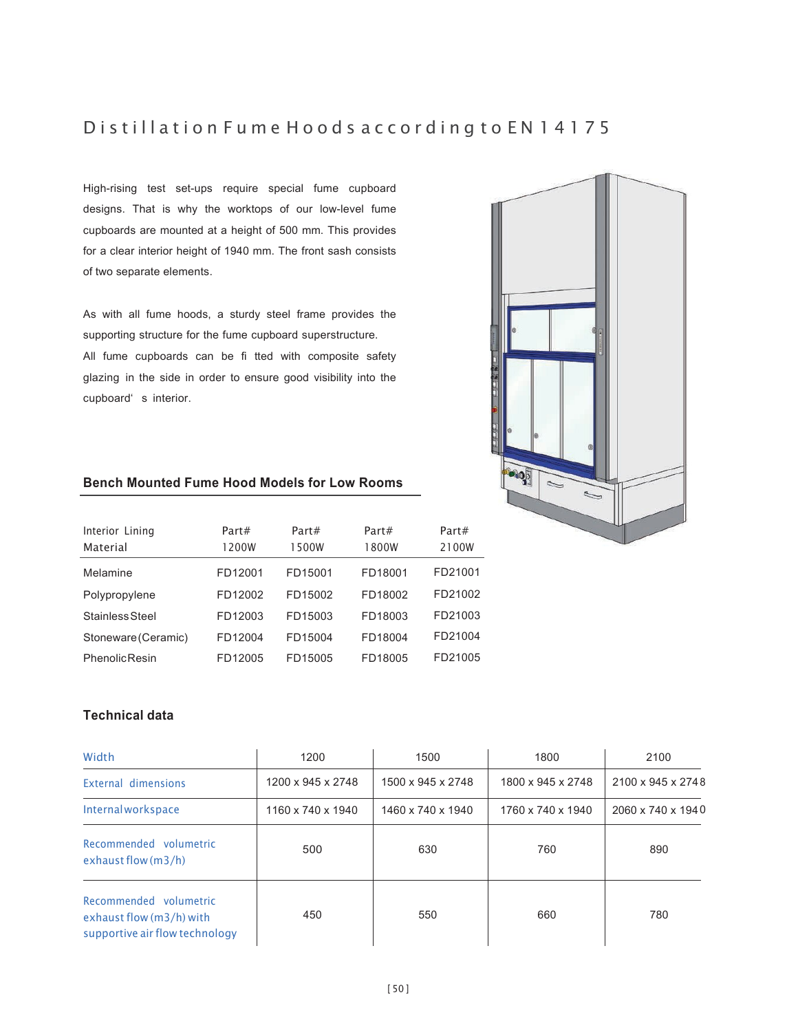# D is till a tion Fume Hoods according to EN 14175

High-rising test set-ups require special fume cupboard designs. That is why the worktops of our low-level fume cupboards are mounted at a height of 500 mm. This provides for a clear interior height of 1940 mm. The front sash consists of two separate elements.

As with all fume hoods, a sturdy steel frame provides the supporting structure for the fume cupboard superstructure. All fume cupboards can be fi tted with composite safety glazing in the side in order to ensure good visibility into the cupboard' s interior.



## **Bench Mounted Fume Hood Models for Low Rooms**

| Interior Lining<br>Material | Part#<br>1200W | Part#<br>1500W | Part#<br>1800W | Part#<br>2100W |
|-----------------------------|----------------|----------------|----------------|----------------|
| Melamine                    | FD12001        | FD15001        | FD18001        | FD21001        |
| Polypropylene               | FD12002        | FD15002        | FD18002        | FD21002        |
| Stainless Steel             | FD12003        | FD15003        | FD18003        | FD21003        |
| Stoneware (Ceramic)         | FD12004        | FD15004        | FD18004        | FD21004        |
| <b>Phenolic Resin</b>       | FD12005        | FD15005        | FD18005        | FD21005        |

| Width                                                                                | 1200              | 1500              | 1800              | 2100              |
|--------------------------------------------------------------------------------------|-------------------|-------------------|-------------------|-------------------|
| External dimensions                                                                  | 1200 x 945 x 2748 | 1500 x 945 x 2748 | 1800 x 945 x 2748 | 2100 x 945 x 2748 |
| <b>Internal workspace</b>                                                            | 1160 x 740 x 1940 | 1460 x 740 x 1940 | 1760 x 740 x 1940 | 2060 x 740 x 1940 |
| Recommended volumetric<br>exhaust flow $(m3/h)$                                      | 500               | 630               | 760               | 890               |
| Recommended volumetric<br>exhaust flow (m3/h) with<br>supportive air flow technology | 450               | 550               | 660               | 780               |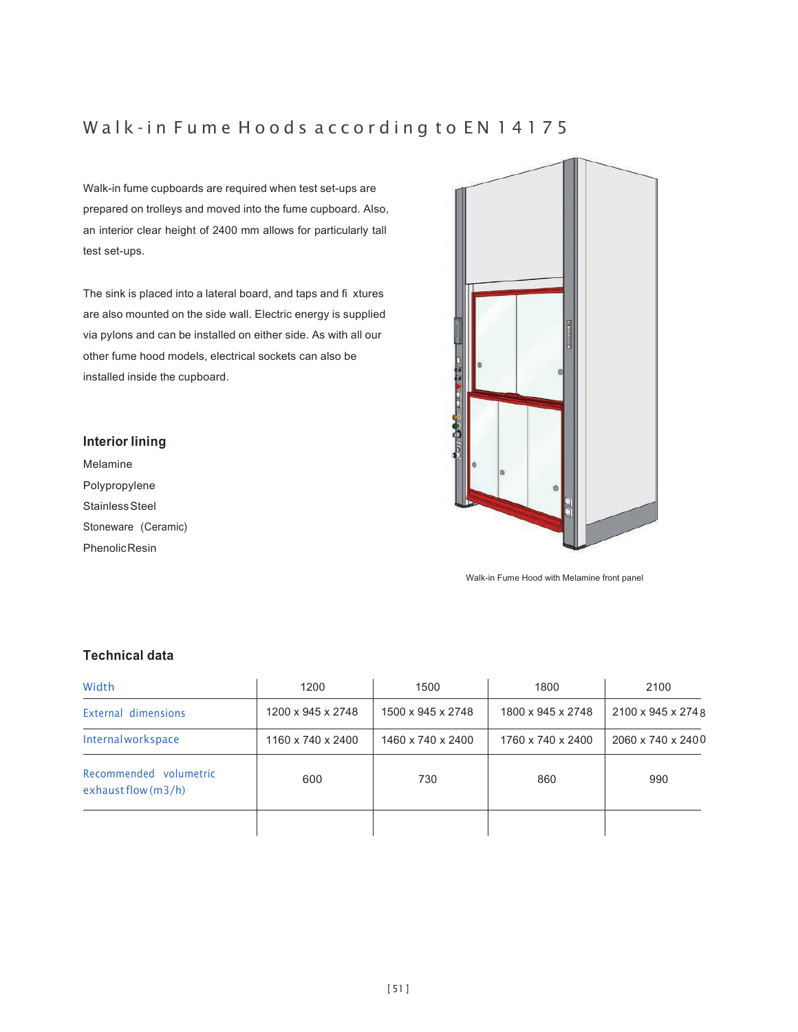# Walk-in Fume Hoods according to EN 14175

Walk-in fume cupboards are required when test set-ups are prepared on trolleys and moved into the fume cupboard. Also, an interior clear height of 2400 mm allows for particularly tall test set-ups.

The sink is placed into a lateral board, and taps and fi xtures are also mounted on the side wall. Electric energy is supplied via pylons and can be installed on either side. As with all our other fume hood models, electrical sockets can also be installed inside the cupboard.

### **Interior lining**

Melamine Polypropylene Stainless Steel Stoneware (Ceramic) **Phenolic Resin** 



Walk-in Fume Hood with Melamine front panel

| Width                                           | 1200              | 1500              | 1800              | 2100               |
|-------------------------------------------------|-------------------|-------------------|-------------------|--------------------|
| External dimensions                             | 1200 x 945 x 2748 | 1500 x 945 x 2748 | 1800 x 945 x 2748 | 2100 x 945 x 274 8 |
| Internalworkspace                               | 1160 x 740 x 2400 | 1460 x 740 x 2400 | 1760 x 740 x 2400 | 2060 x 740 x 2400  |
| Recommended volumetric<br>exhaust flow $(m3/h)$ | 600               | 730               | 860               | 990                |
|                                                 |                   |                   |                   |                    |